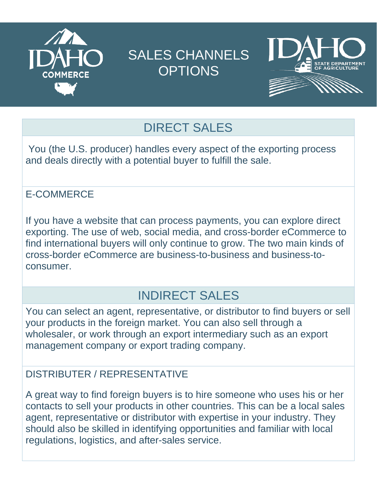

# SALES CHANNELS **OPTIONS**





## DIRECT SALES

You (the U.S. producer) handles every aspect of the exporting process and deals directly with a potential buyer to fulfill the sale.

#### E-COMMERCE

If you have a website that can process payments, you can explore direct exporting. The use of web, social media, and cross-border eCommerce to find international buyers will only continue to grow. The two main kinds of cross-border eCommerce are business-to-business and business-toconsumer.

### INDIRECT SALES

You can select an agent, representative, or distributor to find buyers or sell your products in the foreign market. You can also sell through a wholesaler, or work through an export intermediary such as an export management company or export trading company.

#### DISTRIBUTER / REPRESENTATIVE

A great way to find foreign buyers is to hire someone who uses his or her contacts to sell your products in other countries. This can be a local sales agent, representative or distributor with expertise in your industry. They should also be skilled in identifying opportunities and familiar with local regulations, logistics, and after-sales service.